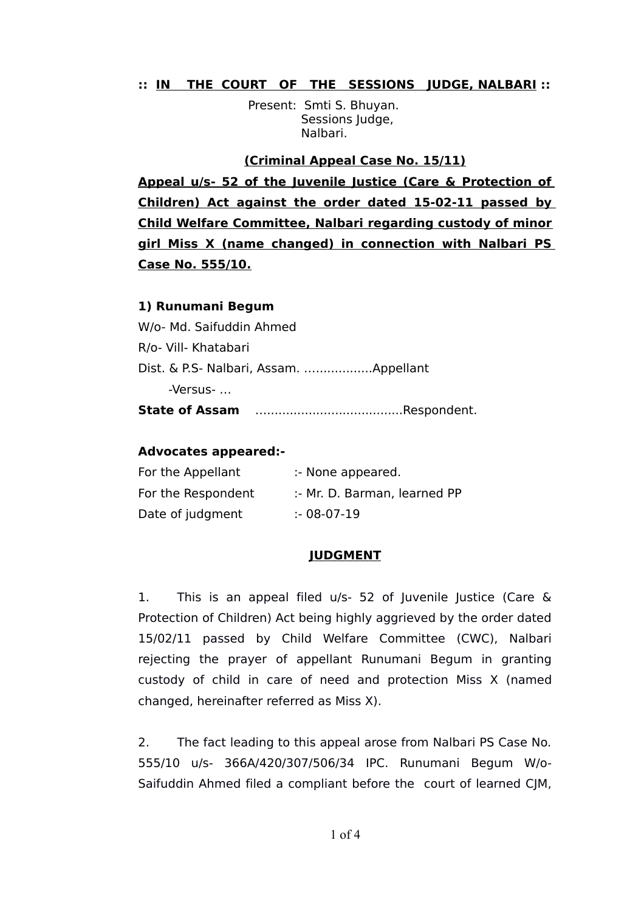# **:: IN THE COURT OF THE SESSIONS JUDGE, NALBARI ::**

 Present: Smti S. Bhuyan. Sessions Judge, Nalbari.

### **(Criminal Appeal Case No. 15/11)**

**Appeal u/s- 52 of the Juvenile Justice (Care & Protection of Children) Act against the order dated 15-02-11 passed by Child Welfare Committee, Nalbari regarding custody of minor girl Miss X (name changed) in connection with Nalbari PS Case No. 555/10.**

### **1) Runumani Begum**

W/o- Md. Saifuddin Ahmed R/o- Vill- Khatabari Dist. & P.S- Nalbari, Assam. …...............Appellant -Versus- … **State of Assam** …....................................Respondent.

### **Advocates appeared:-**

| For the Appellant  | :- None appeared.            |
|--------------------|------------------------------|
| For the Respondent | :- Mr. D. Barman, learned PP |
| Date of judgment   | $: 08-07-19$                 |

## **JUDGMENT**

1. This is an appeal filed u/s- 52 of Juvenile Justice (Care & Protection of Children) Act being highly aggrieved by the order dated 15/02/11 passed by Child Welfare Committee (CWC), Nalbari rejecting the prayer of appellant Runumani Begum in granting custody of child in care of need and protection Miss X (named changed, hereinafter referred as Miss X).

2. The fact leading to this appeal arose from Nalbari PS Case No. 555/10 u/s- 366A/420/307/506/34 IPC. Runumani Begum W/o-Saifuddin Ahmed filed a compliant before the court of learned CJM,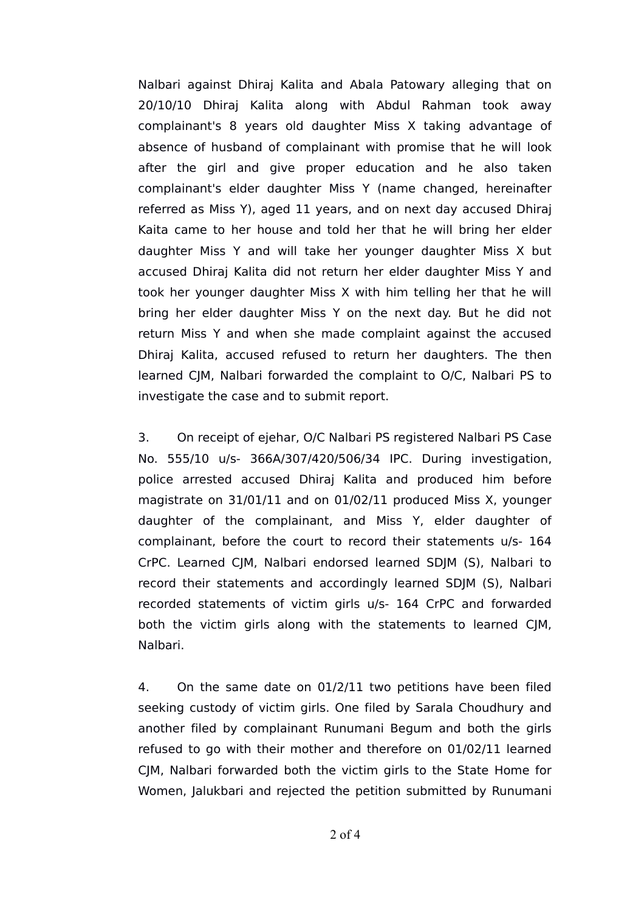Nalbari against Dhiraj Kalita and Abala Patowary alleging that on 20/10/10 Dhiraj Kalita along with Abdul Rahman took away complainant's 8 years old daughter Miss X taking advantage of absence of husband of complainant with promise that he will look after the girl and give proper education and he also taken complainant's elder daughter Miss Y (name changed, hereinafter referred as Miss Y), aged 11 years, and on next day accused Dhiraj Kaita came to her house and told her that he will bring her elder daughter Miss Y and will take her younger daughter Miss X but accused Dhiraj Kalita did not return her elder daughter Miss Y and took her younger daughter Miss X with him telling her that he will bring her elder daughter Miss Y on the next day. But he did not return Miss Y and when she made complaint against the accused Dhiraj Kalita, accused refused to return her daughters. The then learned CJM, Nalbari forwarded the complaint to O/C, Nalbari PS to investigate the case and to submit report.

3. On receipt of ejehar, O/C Nalbari PS registered Nalbari PS Case No. 555/10 u/s- 366A/307/420/506/34 IPC. During investigation, police arrested accused Dhiraj Kalita and produced him before magistrate on 31/01/11 and on 01/02/11 produced Miss X, younger daughter of the complainant, and Miss Y, elder daughter of complainant, before the court to record their statements u/s- 164 CrPC. Learned CJM, Nalbari endorsed learned SDJM (S), Nalbari to record their statements and accordingly learned SDJM (S), Nalbari recorded statements of victim girls u/s- 164 CrPC and forwarded both the victim girls along with the statements to learned CJM, Nalbari.

4. On the same date on 01/2/11 two petitions have been filed seeking custody of victim girls. One filed by Sarala Choudhury and another filed by complainant Runumani Begum and both the girls refused to go with their mother and therefore on 01/02/11 learned CJM, Nalbari forwarded both the victim girls to the State Home for Women, Jalukbari and rejected the petition submitted by Runumani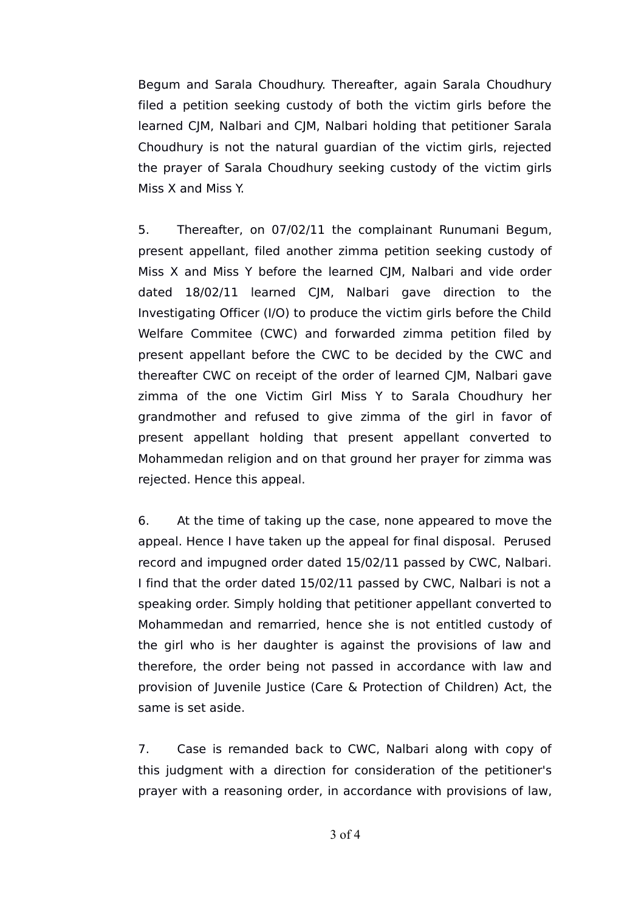Begum and Sarala Choudhury. Thereafter, again Sarala Choudhury filed a petition seeking custody of both the victim girls before the learned CJM, Nalbari and CJM, Nalbari holding that petitioner Sarala Choudhury is not the natural guardian of the victim girls, rejected the prayer of Sarala Choudhury seeking custody of the victim girls Miss X and Miss Y.

5. Thereafter, on 07/02/11 the complainant Runumani Begum, present appellant, filed another zimma petition seeking custody of Miss X and Miss Y before the learned CJM, Nalbari and vide order dated 18/02/11 learned CJM, Nalbari gave direction to the Investigating Officer (I/O) to produce the victim girls before the Child Welfare Commitee (CWC) and forwarded zimma petition filed by present appellant before the CWC to be decided by the CWC and thereafter CWC on receipt of the order of learned CJM, Nalbari gave zimma of the one Victim Girl Miss Y to Sarala Choudhury her grandmother and refused to give zimma of the girl in favor of present appellant holding that present appellant converted to Mohammedan religion and on that ground her prayer for zimma was rejected. Hence this appeal.

6. At the time of taking up the case, none appeared to move the appeal. Hence I have taken up the appeal for final disposal. Perused record and impugned order dated 15/02/11 passed by CWC, Nalbari. I find that the order dated 15/02/11 passed by CWC, Nalbari is not a speaking order. Simply holding that petitioner appellant converted to Mohammedan and remarried, hence she is not entitled custody of the girl who is her daughter is against the provisions of law and therefore, the order being not passed in accordance with law and provision of Juvenile Justice (Care & Protection of Children) Act, the same is set aside.

7. Case is remanded back to CWC, Nalbari along with copy of this judgment with a direction for consideration of the petitioner's prayer with a reasoning order, in accordance with provisions of law,